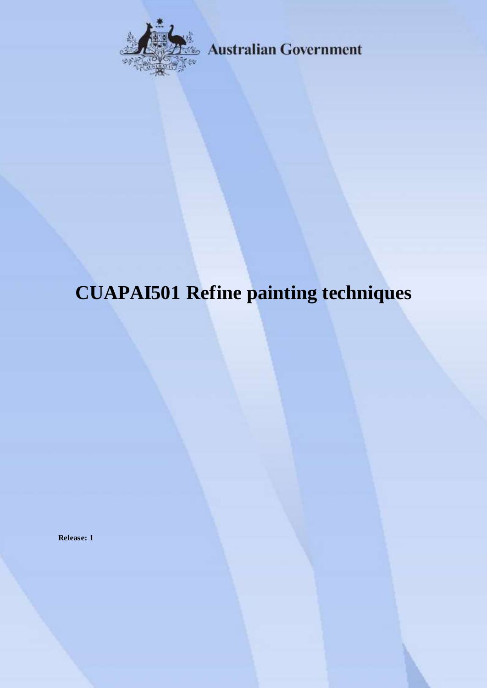

**Australian Government** 

# **CUAPAI501 Refine painting techniques**

**Release: 1**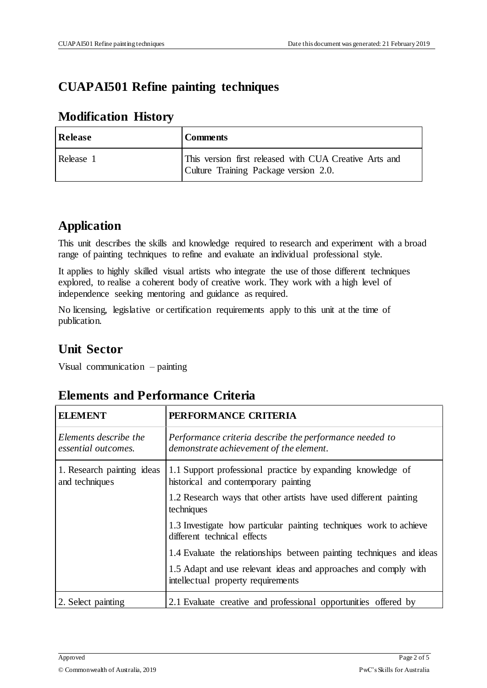## **CUAPAI501 Refine painting techniques**

#### **Modification History**

| <b>Release</b> | <b>Comments</b>                                                                                 |  |
|----------------|-------------------------------------------------------------------------------------------------|--|
| Release 1      | This version first released with CUA Creative Arts and<br>Culture Training Package version 2.0. |  |

### **Application**

This unit describes the skills and knowledge required to research and experiment with a broad range of painting techniques to refine and evaluate an individual professional style.

It applies to highly skilled visual artists who integrate the use of those different techniques explored, to realise a coherent body of creative work. They work with a high level of independence seeking mentoring and guidance as required.

No licensing, legislative or certification requirements apply to this unit at the time of publication.

## **Unit Sector**

Visual communication – painting

| <b>ELEMENT</b>                               | PERFORMANCE CRITERIA                                                                                  |  |
|----------------------------------------------|-------------------------------------------------------------------------------------------------------|--|
| Elements describe the<br>essential outcomes. | Performance criteria describe the performance needed to<br>demonstrate achievement of the element.    |  |
| 1. Research painting ideas<br>and techniques | 1.1 Support professional practice by expanding knowledge of<br>historical and contemporary painting   |  |
|                                              | 1.2 Research ways that other artists have used different painting<br>techniques                       |  |
|                                              | 1.3 Investigate how particular painting techniques work to achieve<br>different technical effects     |  |
|                                              | 1.4 Evaluate the relationships between painting techniques and ideas                                  |  |
|                                              | 1.5 Adapt and use relevant ideas and approaches and comply with<br>intellectual property requirements |  |
| 2. Select painting                           | 2.1 Evaluate creative and professional opportunities offered by                                       |  |

#### **Elements and Performance Criteria**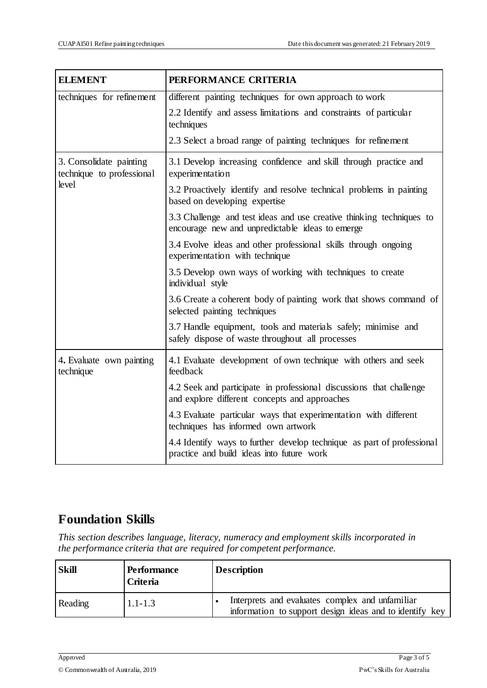| <b>ELEMENT</b>                                                | PERFORMANCE CRITERIA                                                                                                    |  |  |  |
|---------------------------------------------------------------|-------------------------------------------------------------------------------------------------------------------------|--|--|--|
| techniques for refinement                                     | different painting techniques for own approach to work                                                                  |  |  |  |
|                                                               | 2.2 Identify and assess limitations and constraints of particular<br>techniques                                         |  |  |  |
|                                                               | 2.3 Select a broad range of painting techniques for refinement                                                          |  |  |  |
| 3. Consolidate painting<br>technique to professional<br>level | 3.1 Develop increasing confidence and skill through practice and<br>experimentation                                     |  |  |  |
|                                                               | 3.2 Proactively identify and resolve technical problems in painting<br>based on developing expertise                    |  |  |  |
|                                                               | 3.3 Challenge and test ideas and use creative thinking techniques to<br>encourage new and unpredictable ideas to emerge |  |  |  |
|                                                               | 3.4 Evolve ideas and other professional skills through ongoing<br>experimentation with technique                        |  |  |  |
|                                                               | 3.5 Develop own ways of working with techniques to create<br>individual style                                           |  |  |  |
|                                                               | 3.6 Create a coherent body of painting work that shows command of<br>selected painting techniques                       |  |  |  |
|                                                               | 3.7 Handle equipment, tools and materials safely; minimise and<br>safely dispose of waste throughout all processes      |  |  |  |
| 4. Evaluate own painting<br>technique                         | 4.1 Evaluate development of own technique with others and seek<br>feedback                                              |  |  |  |
|                                                               | 4.2 Seek and participate in professional discussions that challenge<br>and explore different concepts and approaches    |  |  |  |
|                                                               | 4.3 Evaluate particular ways that experimentation with different<br>techniques has informed own artwork                 |  |  |  |
|                                                               | 4.4 Identify ways to further develop technique as part of professional<br>practice and build ideas into future work     |  |  |  |

## **Foundation Skills**

*This section describes language, literacy, numeracy and employment skills incorporated in the performance criteria that are required for competent performance.*

| <b>Skill</b> | <b>Performance</b><br>Criteria | <b>Description</b>                                                                                         |
|--------------|--------------------------------|------------------------------------------------------------------------------------------------------------|
| Reading      | $1.1 - 1.3$                    | Interprets and evaluates complex and unfamiliar<br>information to support design ideas and to identify key |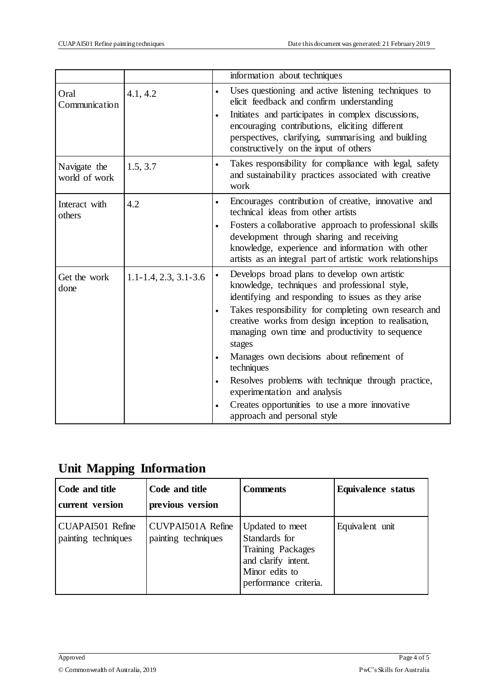|                               |                             |           | information about techniques                                                                                                                                                                                           |  |  |
|-------------------------------|-----------------------------|-----------|------------------------------------------------------------------------------------------------------------------------------------------------------------------------------------------------------------------------|--|--|
| Oral<br>Communication         | 4.1, 4.2                    | $\bullet$ | Uses questioning and active listening techniques to<br>elicit feedback and confirm understanding                                                                                                                       |  |  |
|                               |                             | $\bullet$ | Initiates and participates in complex discussions,<br>encouraging contributions, eliciting different<br>perspectives, clarifying, summarising and building<br>constructively on the input of others                    |  |  |
| Navigate the<br>world of work | 1.5, 3.7                    | $\bullet$ | Takes responsibility for compliance with legal, safety<br>and sustainability practices associated with creative<br>work                                                                                                |  |  |
| Interact with<br>others       | 4.2                         | $\bullet$ | Encourages contribution of creative, innovative and<br>technical ideas from other artists                                                                                                                              |  |  |
|                               |                             | $\bullet$ | Fosters a collaborative approach to professional skills<br>development through sharing and receiving<br>knowledge, experience and information with other<br>artists as an integral part of artistic work relationships |  |  |
| Get the work<br>done          | $1.1 - 1.4, 2.3, 3.1 - 3.6$ | $\bullet$ | Develops broad plans to develop own artistic<br>knowledge, techniques and professional style,<br>identifying and responding to issues as they arise                                                                    |  |  |
|                               |                             | $\bullet$ | Takes responsibility for completing own research and<br>creative works from design inception to realisation,<br>managing own time and productivity to sequence<br>stages                                               |  |  |
|                               |                             | $\bullet$ | Manages own decisions about refinement of<br>techniques                                                                                                                                                                |  |  |
|                               |                             | $\bullet$ | Resolves problems with technique through practice,<br>experimentation and analysis                                                                                                                                     |  |  |
|                               |                             |           | Creates opportunities to use a more innovative<br>approach and personal style                                                                                                                                          |  |  |

## **Unit Mapping Information**

| Code and title<br>current version       | Code and title<br>previous version              | <b>Comments</b>                                                                                                         | <b>Equivalence status</b> |
|-----------------------------------------|-------------------------------------------------|-------------------------------------------------------------------------------------------------------------------------|---------------------------|
| CUAPAI501 Refine<br>painting techniques | <b>CUVPAI501A Refine</b><br>painting techniques | Updated to meet<br>Standards for<br>Training Packages<br>and clarify intent.<br>Minor edits to<br>performance criteria. | Equivalent unit           |